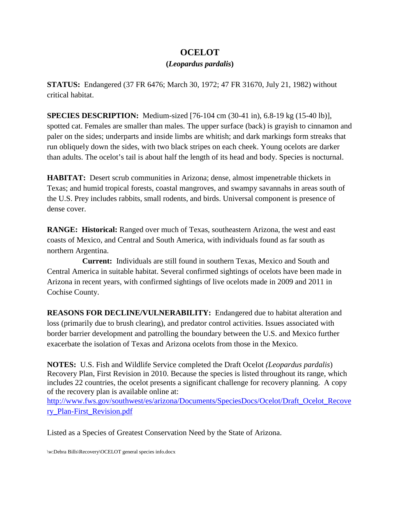## **OCELOT**

## **(***Leopardus pardalis***)**

**STATUS:** Endangered (37 FR 6476; March 30, 1972; 47 FR 31670, July 21, 1982) without critical habitat.

**SPECIES DESCRIPTION:** Medium-sized [76-104 cm (30-41 in), 6.8-19 kg (15-40 lb)], spotted cat. Females are smaller than males. The upper surface (back) is grayish to cinnamon and paler on the sides; underparts and inside limbs are whitish; and dark markings form streaks that run obliquely down the sides, with two black stripes on each cheek. Young ocelots are darker than adults. The ocelot's tail is about half the length of its head and body. Species is nocturnal.

**HABITAT:** Desert scrub communities in Arizona; dense, almost impenetrable thickets in Texas; and humid tropical forests, coastal mangroves, and swampy savannahs in areas south of the U.S. Prey includes rabbits, small rodents, and birds. Universal component is presence of dense cover.

**RANGE: Historical:** Ranged over much of Texas, southeastern Arizona, the west and east coasts of Mexico, and Central and South America, with individuals found as far south as northern Argentina.

 **Current:** Individuals are still found in southern Texas, Mexico and South and Central America in suitable habitat. Several confirmed sightings of ocelots have been made in Arizona in recent years, with confirmed sightings of live ocelots made in 2009 and 2011 in Cochise County.

**REASONS FOR DECLINE/VULNERABILITY:** Endangered due to habitat alteration and loss (primarily due to brush clearing), and predator control activities. Issues associated with border barrier development and patrolling the boundary between the U.S. and Mexico further exacerbate the isolation of Texas and Arizona ocelots from those in the Mexico.

**NOTES:** U.S. Fish and Wildlife Service completed the Draft Ocelot *(Leopardus pardalis*) Recovery Plan, First Revision in 2010. Because the species is listed throughout its range, which includes 22 countries, the ocelot presents a significant challenge for recovery planning. A copy of the recovery plan is available online at:

[http://www.fws.gov/southwest/es/arizona/Documents/SpeciesDocs/Ocelot/Draft\\_Ocelot\\_Recove](http://www.fws.gov/southwest/es/arizona/Documents/SpeciesDocs/Ocelot/Draft_Ocelot_Recovery_Plan-First_Revision.pdf) [ry\\_Plan-First\\_Revision.pdf](http://www.fws.gov/southwest/es/arizona/Documents/SpeciesDocs/Ocelot/Draft_Ocelot_Recovery_Plan-First_Revision.pdf)

Listed as a Species of Greatest Conservation Need by the State of Arizona.

\w:Debra Bills\Recovery\OCELOT general species info.docx